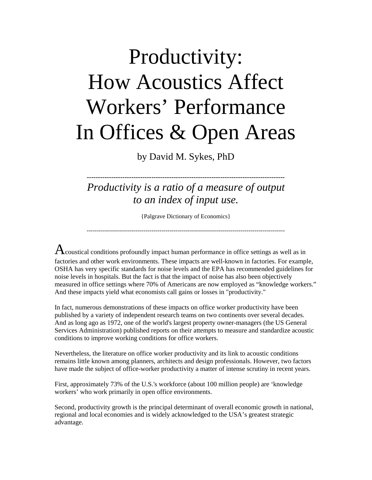# Productivity: How Acoustics Affect Workers' Performance In Offices & Open Areas

by David M. Sykes, PhD

*Productivity is a ratio of a measure of output to an index of input use.* 

**-----------------------------------------------------------------------------------------** 

{Palgrave Dictionary of Economics}

--------------------------------------------------------------------------------------------------

 $\bf A$ coustical conditions profoundly impact human performance in office settings as well as in factories and other work environments. These impacts are well-known in factories. For example, OSHA has very specific standards for noise levels and the EPA has recommended guidelines for noise levels in hospitals. But the fact is that the impact of noise has also been objectively measured in office settings where 70% of Americans are now employed as "knowledge workers." And these impacts yield what economists call gains or losses in "productivity."

In fact, numerous demonstrations of these impacts on office worker productivity have been published by a variety of independent research teams on two continents over several decades. And as long ago as 1972, one of the world's largest property owner-managers (the US General Services Administration) published reports on their attempts to measure and standardize acoustic conditions to improve working conditions for office workers.

Nevertheless, the literature on office worker productivity and its link to acoustic conditions remains little known among planners, architects and design professionals. However, two factors have made the subject of office-worker productivity a matter of intense scrutiny in recent years.

First, approximately 73% of the U.S.'s workforce (about 100 million people) are 'knowledge workers' who work primarily in open office environments.

Second, productivity growth is the principal determinant of overall economic growth in national, regional and local economies and is widely acknowledged to the USA's greatest strategic advantage.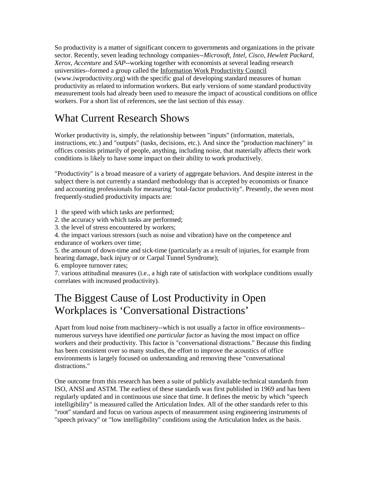So productivity is a matter of significant concern to governments and organizations in the private sector. Recently, seven leading technology companies--*Microsoft, Intel, Cisco, Hewlett Packard, Xerox, Accenture* and *SAP*--working together with economists at several leading research universities--formed a group called the Information Work Productivity Council (www.iwproductivity.org) with the specific goal of developing standard measures of human productivity as related to information workers. But early versions of some standard productivity measurement tools had already been used to measure the impact of acoustical conditions on office workers. For a short list of references, see the last section of this essay.

## What Current Research Shows

Worker productivity is, simply, the relationship between "inputs" (information, materials, instructions, etc.) and "outputs" (tasks, decisions, etc.). And since the "production machinery" in offices consists primarily of people, anything, including noise, that materially affects their work conditions is likely to have some impact on their ability to work productively.

"Productivity" is a broad measure of a variety of aggregate behaviors. And despite interest in the subject there is not currently a standard methodology that is accepted by economists or finance and accounting professionals for measuring "total-factor productivity". Presently, the seven most frequently-studied productivity impacts are:

1 the speed with which tasks are performed;

- 2. the accuracy with which tasks are performed;
- 3. the level of stress encountered by workers;

4. the impact various stressors (such as noise and vibration) have on the competence and endurance of workers over time;

5. the amount of down-time and sick-time (particularly as a result of injuries, for example from hearing damage, back injury or or Carpal Tunnel Syndrome);

6. employee turnover rates;

7. various attitudinal measures (i.e., a high rate of satisfaction with workplace conditions usually correlates with increased productivity).

### The Biggest Cause of Lost Productivity in Open Workplaces is 'Conversational Distractions'

Apart from loud noise from machinery--which is not usually a factor in office environments- numerous surveys have identified *one particular factor* as having the most impact on office workers and their productivity. This factor is "conversational distractions." Because this finding has been consistent over so many studies, the effort to improve the acoustics of office environments is largely focused on understanding and removing these "conversational distractions."

One outcome from this research has been a suite of publicly available technical standards from ISO, ANSI and ASTM. The earliest of these standards was first published in 1969 and has been regularly updated and in continuous use since that time. It defines the metric by which "speech intelligibility" is measured called the Articulation Index. All of the other standards refer to this "root" standard and focus on various aspects of measurement using engineering instruments of "speech privacy" or "low intelligibility" conditions using the Articulation Index as the basis.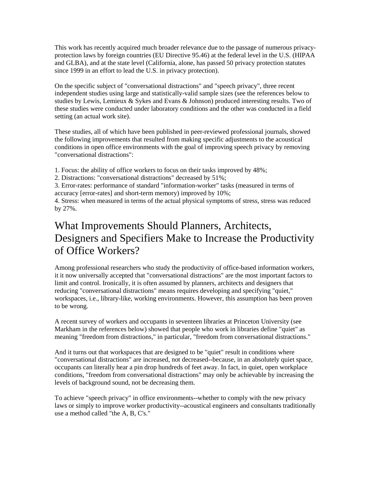This work has recently acquired much broader relevance due to the passage of numerous privacyprotection laws by foreign countries (EU Directive 95.46) at the federal level in the U.S. (HIPAA and GLBA), and at the state level (California, alone, has passed 50 privacy protection statutes since 1999 in an effort to lead the U.S. in privacy protection).

On the specific subject of "conversational distractions" and "speech privacy", three recent independent studies using large and statistically-valid sample sizes (see the references below to studies by Lewis, Lemieux & Sykes and Evans & Johnson) produced interesting results. Two of these studies were conducted under laboratory conditions and the other was conducted in a field setting (an actual work site).

These studies, all of which have been published in peer-reviewed professional journals, showed the following improvements that resulted from making specific adjustments to the acoustical conditions in open office environments with the goal of improving speech privacy by removing "conversational distractions":

1. Focus: the ability of office workers to focus on their tasks improved by 48%;

2. Distractions: "conversational distractions" decreased by 51%;

3. Error-rates: performance of standard "information-worker" tasks (measured in terms of accuracy [error-rates] and short-term memory) improved by 10%;

4. Stress: when measured in terms of the actual physical symptoms of stress, stress was reduced by 27%.

#### What Improvements Should Planners, Architects, Designers and Specifiers Make to Increase the Productivity of Office Workers?

Among professional researchers who study the productivity of office-based information workers, it it now universally accepted that "conversational distractions" are the most important factors to limit and control. Ironically, it is often assumed by planners, architects and designers that reducing "conversational distractions" means requires developing and specifying "quiet," workspaces, i.e., library-like, working environments. However, this assumption has been proven to be wrong.

A recent survey of workers and occupants in seventeen libraries at Princeton University (see Markham in the references below) showed that people who work in libraries define "quiet" as meaning "freedom from distractions," in particular, "freedom from conversational distractions."

And it turns out that workspaces that are designed to be "quiet" result in conditions where "conversational distractions" are increased, not decreased--because, in an absolutely quiet space, occupants can literally hear a pin drop hundreds of feet away. In fact, in quiet, open workplace conditions, "freedom from conversational distractions" may only be achievable by increasing the levels of background sound, not be decreasing them.

To achieve "speech privacy" in office environments--whether to comply with the new privacy laws or simply to improve worker productivity--acoustical engineers and consultants traditionally use a method called "the A, B, C's."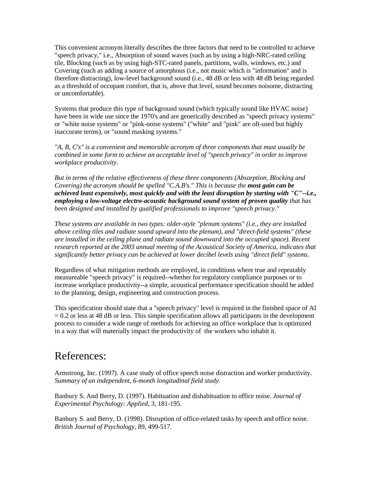This convenient acronym literally describes the three factors that need to be controlled to achieve "speech privacy," i.e., Absorption of sound waves (such as by using a high-NRC-rated ceiling tile, Blocking (such as by using high-STC-rated panels, partitions, walls, windows, etc.) and Covering (such as adding a source of amorphous (i.e., not music which is "information" and is therefore distracting), low-level background sound (i.e., 48 dB or less with 48 dB being regarded as a threshold of occupant comfort, that is, above that level, sound becomes noisome, distracting or uncomfortable).

Systems that produce this type of background sound (which typically sound like HVAC noise) have been in wide use since the 1970's and are generically described as "speech privacy systems" or "white noise systems" or "pink-noise systems" ("white" and "pink" are oft-used but highly inaccurate terms), or "sound masking systems."

*"A, B, C's" is a convenient and memorable acronym of three components that must usually be combined in some form to achieve an acceptable level of "speech privacy" in order to improve workplace productivity.* 

*But in terms of the relative effectiveness of these three components (Absorption, Blocking and Covering) the acronym should be spelled "C.A.B's." This is because the most gain can be achieved least expensively, most quickly and with the least disruption by starting with "C"--i.e., employing a low-voltage electro-acoustic background sound system of proven quality that has been designed and installed by qualified professionals to improve "speech privacy."* 

*These systems are available in two types: older-style "plenum systems" (i.e., they are installed above ceiling tiles and radiate sound upward into the plenum), and "direct-field systems" (these are installed in the ceiling plane and radiate sound downward into the occupied space). Recent research reported at the 2003 annual meeting of the Acoustical Society of America, indicates that significantly better privacy can be achieved at lower decibel levels using "direct field" systems.* 

Regardless of what mitigation methods are employed, in conditions where true and repeatably measureable "speech privacy" is required--whether for regulatory compliance purposes or to increase workplace productivity--a simple, acoustical performance specification should be added to the planning, design, engineering and construction process.

This specification should state that a "speech privacy" level is required in the finished space of AI  $= 0.2$  or less at 48 dB or less. This simple specification allows all participants in the development process to consider a wide range of methods for achieving an office workplace that is optimized in a way that will materially impact the productivity of the workers who inhabit it.

#### References:

Armstrong, Inc. (1997). A case study of office speech noise distraction and worker productivity. *Summary of an independent, 6-month longitudinal field study.* 

Banbury S. And Berry, D. (1997). Habituation and dishabituation to office noise. *Journal of Experimental Psychology: Applied*, 3, 181-195.

Banbury S. and Berry, D. (1998). Disruption of office-related tasks by speech and office noise. *British Journal of Psychology*, 89, 499-517.